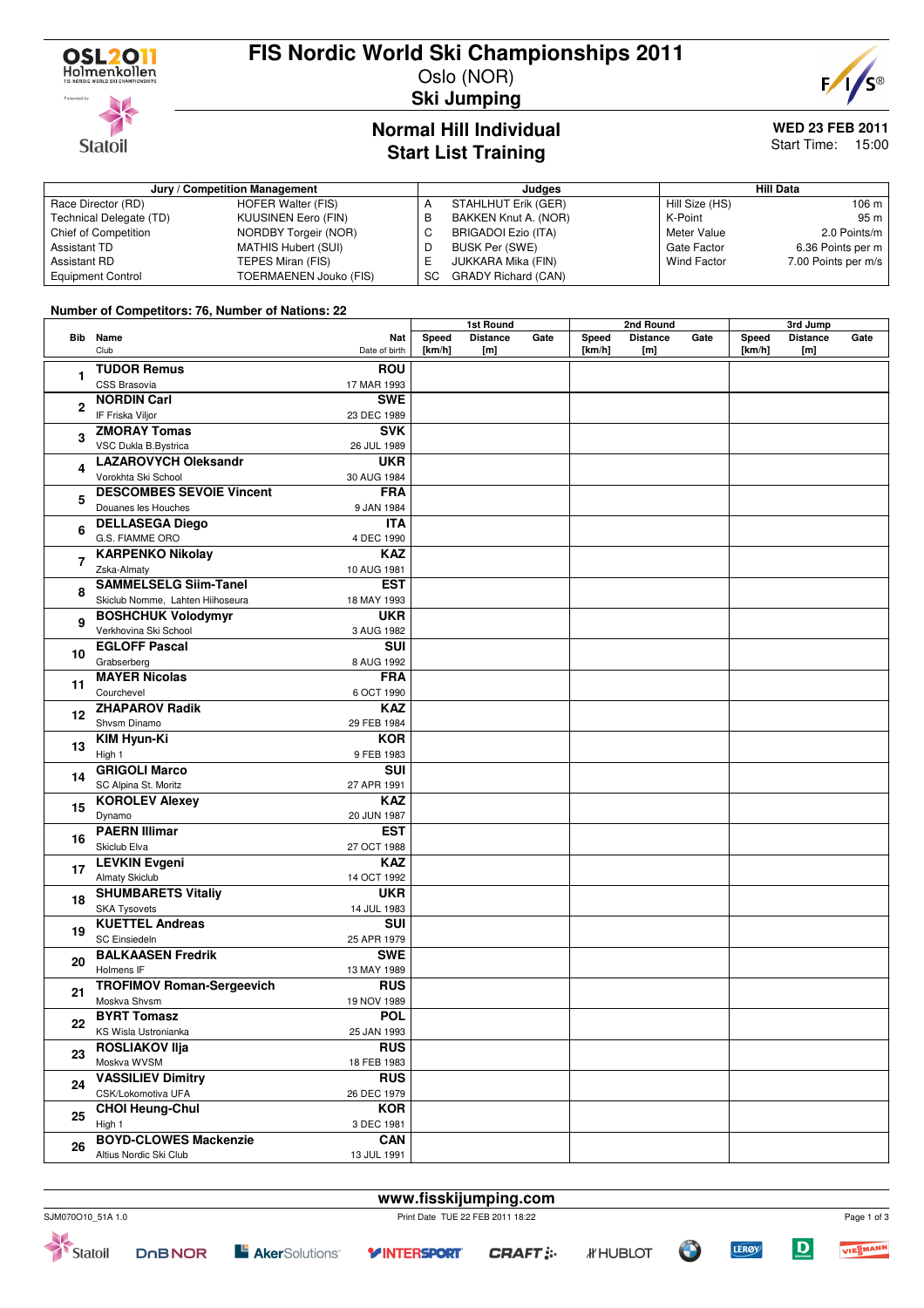

**Statoil** 

### **FIS Nordic World Ski Championships 2011**

Oslo (NOR)



**Ski Jumping**

### **Normal Hill Individual Start List Training**

# **WED 23 FEB 2011**

Start Time: 15:00

| Jury / Competition Management |                        |    | Judaes                     | <b>Hill Data</b> |                     |  |
|-------------------------------|------------------------|----|----------------------------|------------------|---------------------|--|
| Race Director (RD)            | HOFER Walter (FIS)     |    | STAHLHUT Erik (GER)        | Hill Size (HS)   | 106 m               |  |
| Technical Delegate (TD)       | KUUSINEN Eero (FIN)    |    | BAKKEN Knut A. (NOR)       | K-Point          | 95 m                |  |
| Chief of Competition          | NORDBY Torgeir (NOR)   |    | BRIGADOI Ezio (ITA)        | Meter Value      | 2.0 Points/m        |  |
| Assistant TD                  | MATHIS Hubert (SUI)    |    | BUSK Per (SWE)             | Gate Factor      | 6.36 Points per m   |  |
| Assistant RD                  | TEPES Miran (FIS)      |    | JUKKARA Mika (FIN)         | Wind Factor      | 7.00 Points per m/s |  |
| <b>Equipment Control</b>      | TOERMAENEN Jouko (FIS) | SC | <b>GRADY Richard (CAN)</b> |                  |                     |  |

#### **Number of Competitors: 76, Number of Nations: 22**

|                |                                  |                                    | 1st Round |                 | 2nd Round |        |                 | 3rd Jump |        |                 |      |
|----------------|----------------------------------|------------------------------------|-----------|-----------------|-----------|--------|-----------------|----------|--------|-----------------|------|
|                | <b>Bib</b> Name                  | Nat                                | Speed     | <b>Distance</b> | Gate      | Speed  | <b>Distance</b> | Gate     | Speed  | <b>Distance</b> | Gate |
|                | Club                             | Date of birth                      | [km/h]    | [m]             |           | [km/h] | [m]             |          | [km/h] | [m]             |      |
|                | <b>TUDOR Remus</b>               | <b>ROU</b>                         |           |                 |           |        |                 |          |        |                 |      |
| 1              | CSS Brasovia                     | 17 MAR 1993                        |           |                 |           |        |                 |          |        |                 |      |
|                | <b>NORDIN Carl</b>               | <b>SWE</b>                         |           |                 |           |        |                 |          |        |                 |      |
| $\mathbf{2}$   | IF Friska Viljor                 | 23 DEC 1989                        |           |                 |           |        |                 |          |        |                 |      |
|                | <b>ZMORAY Tomas</b>              | <b>SVK</b>                         |           |                 |           |        |                 |          |        |                 |      |
| 3              |                                  |                                    |           |                 |           |        |                 |          |        |                 |      |
| 4              | VSC Dukla B.Bystrica             | 26 JUL 1989                        |           |                 |           |        |                 |          |        |                 |      |
|                | <b>LAZAROVYCH Oleksandr</b>      | <b>UKR</b>                         |           |                 |           |        |                 |          |        |                 |      |
| 5              | Vorokhta Ski School              | 30 AUG 1984                        |           |                 |           |        |                 |          |        |                 |      |
|                | <b>DESCOMBES SEVOIE Vincent</b>  | <b>FRA</b>                         |           |                 |           |        |                 |          |        |                 |      |
|                | Douanes les Houches              | 9 JAN 1984                         |           |                 |           |        |                 |          |        |                 |      |
| 6              | <b>DELLASEGA Diego</b>           | <b>ITA</b>                         |           |                 |           |        |                 |          |        |                 |      |
|                | G.S. FIAMME ORO                  | 4 DEC 1990                         |           |                 |           |        |                 |          |        |                 |      |
| 7              | <b>KARPENKO Nikolay</b>          | <b>KAZ</b>                         |           |                 |           |        |                 |          |        |                 |      |
|                | Zska-Almaty                      | 10 AUG 1981                        |           |                 |           |        |                 |          |        |                 |      |
| 8              | <b>SAMMELSELG Siim-Tanel</b>     | <b>EST</b>                         |           |                 |           |        |                 |          |        |                 |      |
|                | Skiclub Nomme, Lahten Hiihoseura | 18 MAY 1993                        |           |                 |           |        |                 |          |        |                 |      |
|                | <b>BOSHCHUK Volodymyr</b>        | <b>UKR</b>                         |           |                 |           |        |                 |          |        |                 |      |
| 9              | Verkhovina Ski School            | 3 AUG 1982                         |           |                 |           |        |                 |          |        |                 |      |
|                | <b>EGLOFF Pascal</b>             | $\overline{\overline{\text{SUI}}}$ |           |                 |           |        |                 |          |        |                 |      |
| 10             | Grabserberg                      | 8 AUG 1992                         |           |                 |           |        |                 |          |        |                 |      |
| 11<br>12<br>13 | <b>MAYER Nicolas</b>             | <b>FRA</b>                         |           |                 |           |        |                 |          |        |                 |      |
|                | Courchevel                       | 6 OCT 1990                         |           |                 |           |        |                 |          |        |                 |      |
|                | <b>ZHAPAROV Radik</b>            | <b>KAZ</b>                         |           |                 |           |        |                 |          |        |                 |      |
|                | Shysm Dinamo                     | 29 FEB 1984                        |           |                 |           |        |                 |          |        |                 |      |
|                | <b>KIM Hyun-Ki</b>               | <b>KOR</b>                         |           |                 |           |        |                 |          |        |                 |      |
|                | High 1                           | 9 FEB 1983                         |           |                 |           |        |                 |          |        |                 |      |
| 14             | <b>GRIGOLI Marco</b>             | SUI                                |           |                 |           |        |                 |          |        |                 |      |
|                | SC Alpina St. Moritz             | 27 APR 1991                        |           |                 |           |        |                 |          |        |                 |      |
|                | <b>KOROLEV Alexey</b>            | <b>KAZ</b>                         |           |                 |           |        |                 |          |        |                 |      |
| 15             | Dynamo                           | 20 JUN 1987                        |           |                 |           |        |                 |          |        |                 |      |
|                | <b>PAERN Illimar</b>             | EST                                |           |                 |           |        |                 |          |        |                 |      |
| 16             | Skiclub Elva                     | 27 OCT 1988                        |           |                 |           |        |                 |          |        |                 |      |
|                | <b>LEVKIN Evgeni</b>             | <b>KAZ</b>                         |           |                 |           |        |                 |          |        |                 |      |
| 17             | <b>Almaty Skiclub</b>            | 14 OCT 1992                        |           |                 |           |        |                 |          |        |                 |      |
|                | <b>SHUMBARETS Vitaliy</b>        | <b>UKR</b>                         |           |                 |           |        |                 |          |        |                 |      |
| 18             | <b>SKA Tysovets</b>              | 14 JUL 1983                        |           |                 |           |        |                 |          |        |                 |      |
|                | <b>KUETTEL Andreas</b>           | <b>SUI</b>                         |           |                 |           |        |                 |          |        |                 |      |
| 19             | <b>SC Einsiedeln</b>             | 25 APR 1979                        |           |                 |           |        |                 |          |        |                 |      |
| 20             | <b>BALKAASEN Fredrik</b>         | <b>SWE</b>                         |           |                 |           |        |                 |          |        |                 |      |
|                | Holmens IF                       | 13 MAY 1989                        |           |                 |           |        |                 |          |        |                 |      |
| 21<br>22       | <b>TROFIMOV Roman-Sergeevich</b> | <b>RUS</b>                         |           |                 |           |        |                 |          |        |                 |      |
|                | Moskva Shvsm                     | 19 NOV 1989                        |           |                 |           |        |                 |          |        |                 |      |
|                | <b>BYRT Tomasz</b>               | <b>POL</b>                         |           |                 |           |        |                 |          |        |                 |      |
|                | KS Wisla Ustronianka             | 25 JAN 1993                        |           |                 |           |        |                 |          |        |                 |      |
|                | <b>ROSLIAKOV IIja</b>            | <b>RUS</b>                         |           |                 |           |        |                 |          |        |                 |      |
| 23             | Moskva WVSM                      | 18 FEB 1983                        |           |                 |           |        |                 |          |        |                 |      |
|                | <b>VASSILIEV Dimitry</b>         | <b>RUS</b>                         |           |                 |           |        |                 |          |        |                 |      |
| 24             | CSK/Lokomotiva UFA               | 26 DEC 1979                        |           |                 |           |        |                 |          |        |                 |      |
| 25             | <b>CHOI Heung-Chul</b>           | <b>KOR</b>                         |           |                 |           |        |                 |          |        |                 |      |
|                | High 1                           | 3 DEC 1981                         |           |                 |           |        |                 |          |        |                 |      |
|                | <b>BOYD-CLOWES Mackenzie</b>     | <b>CAN</b>                         |           |                 |           |        |                 |          |        |                 |      |
| 26             | Altius Nordic Ski Club           | 13 JUL 1991                        |           |                 |           |        |                 |          |        |                 |      |
|                |                                  |                                    |           |                 |           |        |                 |          |        |                 |      |



**www.fisskijumping.com** SJM070O10\_51A 1.0 Print Date TUE 22 FEB 2011 18:22



 $\overline{D}$ 

**LERØY**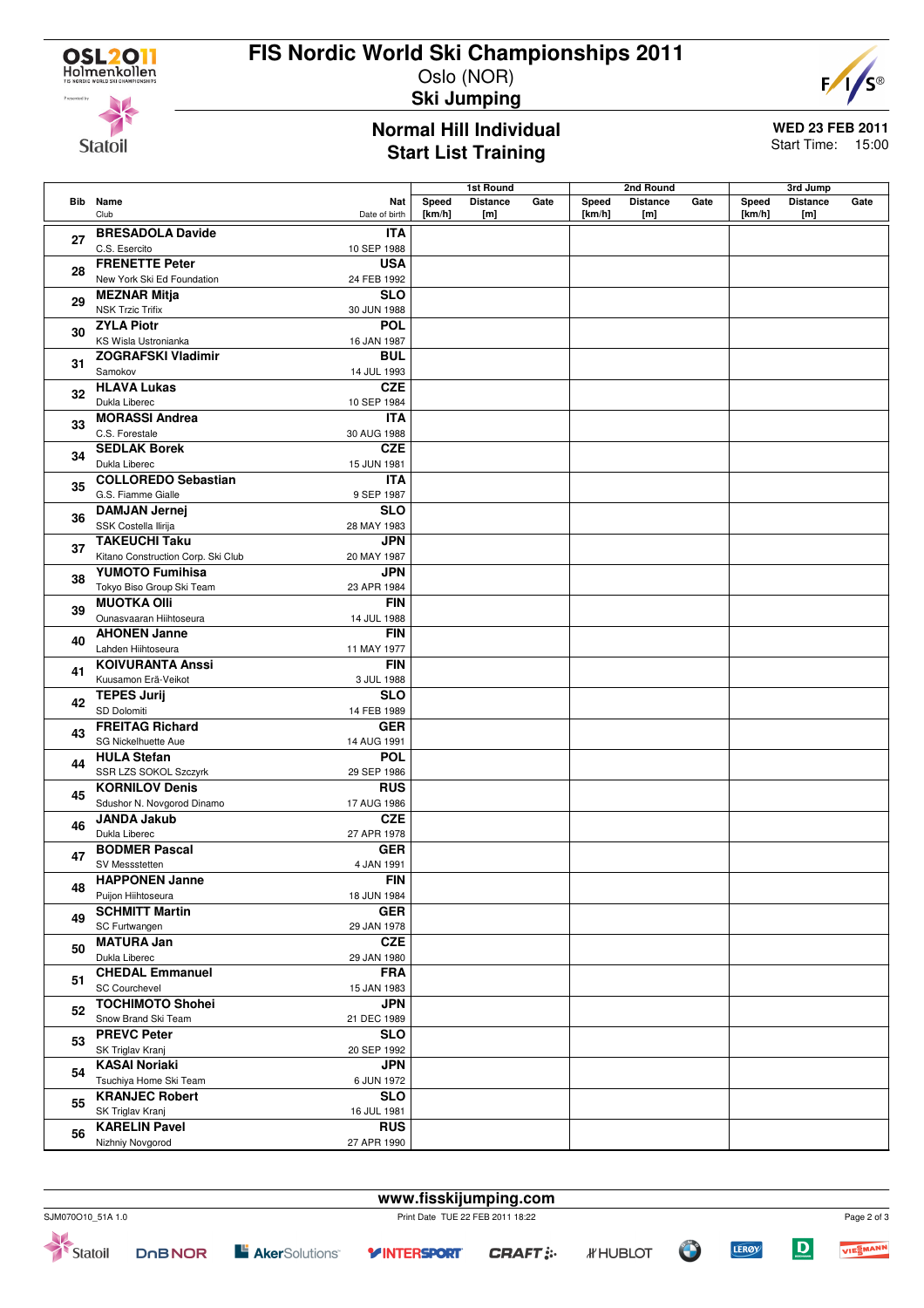

## **FIS Nordic World Ski Championships 2011**

Oslo (NOR) **Ski Jumping**



**Statoil** 

#### **Normal Hill Individual Start List Training**

**WED 23 FEB 2011** Start Time: 15:00

**Bib Name** Club **Nat** Date of birth **1st Round Speed Distance Gate [km/h] [m] 2nd Round Speed Distance Gate [km/h] [m] 3rd Jump Speed Distance Gate [km/h] [m] <sup>27</sup> BRESADOLA Davide** C.S. Esercito **ITA** 10 SEP 1988 **<sup>28</sup> FRENETTE Peter** New York Ski Ed Foundation **USA** 24 FEB 1992 **<sup>29</sup> MEZNAR Mitja** NSK Trzic Trifix **SLO** 30 JUN 1988 **<sup>30</sup> ZYLA Piotr** KS Wisla Ustronianka **POL** 16 JAN 1987 **<sup>31</sup> ZOGRAFSKI Vladimir** Samokov **BUL** 14 JUL 1993 **<sup>32</sup> HLAVA Lukas** Dukla Liberec **CZE** 10 SEP 1984 **<sup>33</sup> MORASSI Andrea** C.S. Forestale **ITA** 30 AUG 1988 **<sup>34</sup> SEDLAK Borek** Dukla Liberec **CZE** 15 JUN 1981 **<sup>35</sup> COLLOREDO Sebastian** G.S. Fiamme Gialle **ITA** 9 SEP 1987 **<sup>36</sup> DAMJAN Jernej** SSK Costella Ilirija **SLO** 28 MAY 1983 **<sup>37</sup> TAKEUCHI Taku** Kitano Construction Corp. Ski Club **JPN** 20 MAY 1987 **<sup>38</sup> YUMOTO Fumihisa** Tokyo Biso Group Ski Team **JPN** 23 APR 1984 **<sup>39</sup> MUOTKA Olli** Ounasvaaran Hiihtoseura **FIN** 14 JUL 1988 **<sup>40</sup> AHONEN Janne** Lahden Hiihtoseura **FIN** 11 MAY 1977 **<sup>41</sup> KOIVURANTA Anssi** Kuusamon Erä-Veikot **FIN** 3 JUL 1988 **<sup>42</sup> TEPES Jurij** SD Dolomiti **SLO** 14 FEB 1989 **<sup>43</sup> FREITAG Richard** SG Nickelhuette Aue **GER** 14 AUG 1991 **<sup>44</sup> HULA Stefan** SSR LZS SOKOL Szczyrk **POL** 29 SEP 1986 **<sup>45</sup> KORNILOV Denis** Sdushor N. Novgorod Dinamo **RUS** 17 AUG 1986 **<sup>46</sup> JANDA Jakub** Dukla Liberec **CZE** 27 APR 1978 **<sup>47</sup> BODMER Pascal** SV Messstetten **GER** 4 JAN 1991 **<sup>48</sup> HAPPONEN Janne** Puijon Hiihtoseura **FIN** 18 JUN 1984 **<sup>49</sup> SCHMITT Martin** SC Furtwangen **GER** 29 JAN 1978 **<sup>50</sup> MATURA Jan** Dukla Liberec **CZE** 29 JAN 1980 **<sup>51</sup> CHEDAL Emmanuel** SC Courchevel **FRA** 15 JAN 1983 **<sup>52</sup> TOCHIMOTO Shohei** Snow Brand Ski Team **JPN** 21 DEC 1989 **<sup>53</sup> PREVC Peter** SK Triglav Kranj **SLO** 20 SEP 1992 **<sup>54</sup> KASAI Noriaki** Tsuchiya Home Ski Team **JPN** 6 JUN 1972 **<sup>55</sup> KRANJEC Robert** SK Triglav Kranj **SLO** 16 JUL 1981 **<sup>56</sup> KARELIN Pavel** Nizhniy Novgorod **RUS** 27 APR 1990